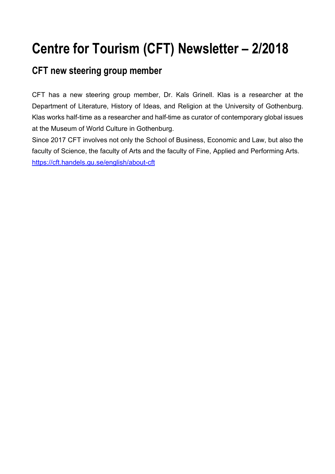# **Centre for Tourism (CFT) Newsletter – 2/2018**

### **CFT new steering group member**

CFT has a new steering group member, Dr. Kals Grinell. Klas is a researcher at the Department of Literature, History of Ideas, and Religion at the University of Gothenburg. Klas works half-time as a researcher and half-time as curator of contemporary global issues at the Museum of World Culture in Gothenburg.

Since 2017 CFT involves not only the School of Business, Economic and Law, but also the faculty of Science, the faculty of Arts and the faculty of Fine, Applied and Performing Arts. https://cft.handels.gu.se/english/about-cft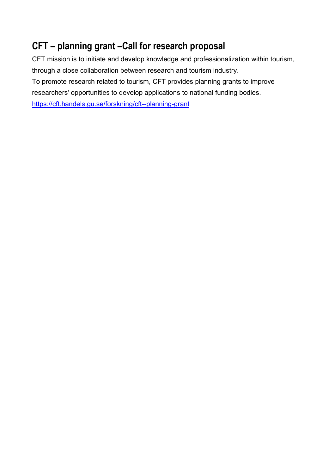# **CFT – planning grant –Call for research proposal**

CFT mission is to initiate and develop knowledge and professionalization within tourism, through a close collaboration between research and tourism industry. To promote research related to tourism, CFT provides planning grants to improve researchers' opportunities to develop applications to national funding bodies. https://cft.handels.gu.se/forskning/cft--planning-grant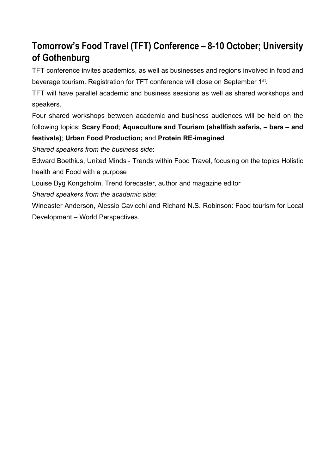# **Tomorrow's Food Travel (TFT) Conference – 8-10 October; University of Gothenburg**

TFT conference invites academics, as well as businesses and regions involved in food and beverage tourism. Registration for TFT conference will close on September 1st.

TFT will have parallel academic and business sessions as well as shared workshops and speakers.

Four shared workshops between academic and business audiences will be held on the following topics: **Scary Food**; **Aquaculture and Tourism (shellfish safaris, – bars – and festivals)**; **Urban Food Production;** and **Protein RE-imagined**.

*Shared speakers from the business side*:

Edward Boethius, United Minds - Trends within Food Travel, focusing on the topics Holistic health and Food with a purpose

Louise Byg Kongsholm, Trend forecaster, author and magazine editor

*Shared speakers from the academic side*:

Wineaster Anderson, Alessio Cavicchi and Richard N.S. Robinson: Food tourism for Local Development – World Perspectives.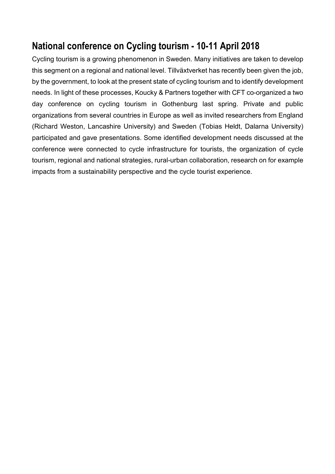### **National conference on Cycling tourism - 10-11 April 2018**

Cycling tourism is a growing phenomenon in Sweden. Many initiatives are taken to develop this segment on a regional and national level. Tillväxtverket has recently been given the job, by the government, to look at the present state of cycling tourism and to identify development needs. In light of these processes, Koucky & Partners together with CFT co-organized a two day conference on cycling tourism in Gothenburg last spring. Private and public organizations from several countries in Europe as well as invited researchers from England (Richard Weston, Lancashire University) and Sweden (Tobias Heldt, Dalarna University) participated and gave presentations. Some identified development needs discussed at the conference were connected to cycle infrastructure for tourists, the organization of cycle tourism, regional and national strategies, rural-urban collaboration, research on for example impacts from a sustainability perspective and the cycle tourist experience.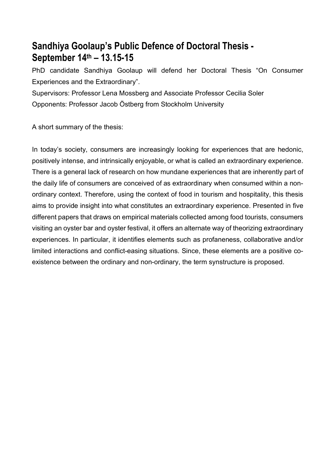### **Sandhiya Goolaup's Public Defence of Doctoral Thesis - September 14th – 13.15-15**

PhD candidate Sandhiya Goolaup will defend her Doctoral Thesis "On Consumer Experiences and the Extraordinary".

Supervisors: Professor Lena Mossberg and Associate Professor Cecilia Soler Opponents: Professor Jacob Östberg from Stockholm University

A short summary of the thesis:

In today's society, consumers are increasingly looking for experiences that are hedonic, positively intense, and intrinsically enjoyable, or what is called an extraordinary experience. There is a general lack of research on how mundane experiences that are inherently part of the daily life of consumers are conceived of as extraordinary when consumed within a nonordinary context. Therefore, using the context of food in tourism and hospitality, this thesis aims to provide insight into what constitutes an extraordinary experience. Presented in five different papers that draws on empirical materials collected among food tourists, consumers visiting an oyster bar and oyster festival, it offers an alternate way of theorizing extraordinary experiences. In particular, it identifies elements such as profaneness, collaborative and/or limited interactions and conflict-easing situations. Since, these elements are a positive coexistence between the ordinary and non-ordinary, the term synstructure is proposed.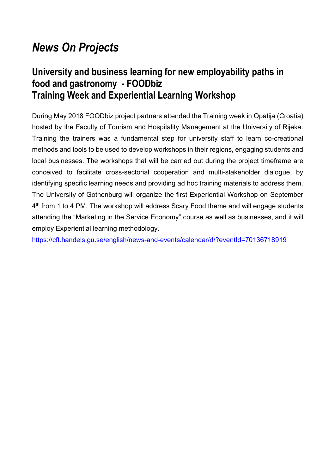# *News On Projects*

### **University and business learning for new employability paths in food and gastronomy - FOODbiz Training Week and Experiential Learning Workshop**

During May 2018 FOODbiz project partners attended the Training week in Opatija (Croatia) hosted by the Faculty of Tourism and Hospitality Management at the University of Rijeka. Training the trainers was a fundamental step for university staff to learn co-creational methods and tools to be used to develop workshops in their regions, engaging students and local businesses. The workshops that will be carried out during the project timeframe are conceived to facilitate cross-sectorial cooperation and multi-stakeholder dialogue, by identifying specific learning needs and providing ad hoc training materials to address them. The University of Gothenburg will organize the first Experiential Workshop on September 4<sup>th</sup> from 1 to 4 PM. The workshop will address Scary Food theme and will engage students attending the "Marketing in the Service Economy" course as well as businesses, and it will employ Experiential learning methodology.

https://cft.handels.gu.se/english/news-and-events/calendar/d/?eventId=70136718919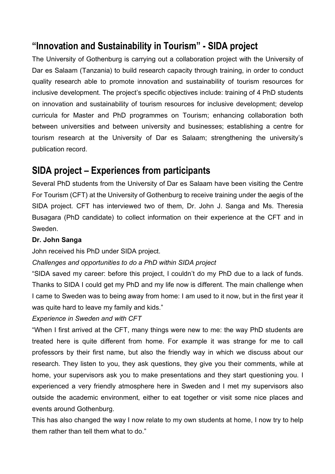### **"Innovation and Sustainability in Tourism" - SIDA project**

The University of Gothenburg is carrying out a collaboration project with the University of Dar es Salaam (Tanzania) to build research capacity through training, in order to conduct quality research able to promote innovation and sustainability of tourism resources for inclusive development. The project's specific objectives include: training of 4 PhD students on innovation and sustainability of tourism resources for inclusive development; develop curricula for Master and PhD programmes on Tourism; enhancing collaboration both between universities and between university and businesses; establishing a centre for tourism research at the University of Dar es Salaam; strengthening the university's publication record.

### **SIDA project – Experiences from participants**

Several PhD students from the University of Dar es Salaam have been visiting the Centre For Tourism (CFT) at the University of Gothenburg to receive training under the aegis of the SIDA project. CFT has interviewed two of them, Dr. John J. Sanga and Ms. Theresia Busagara (PhD candidate) to collect information on their experience at the CFT and in Sweden.

#### **Dr. John Sanga**

John received his PhD under SIDA project.

*Challenges and opportunities to do a PhD within SIDA project*

"SIDA saved my career: before this project, I couldn't do my PhD due to a lack of funds. Thanks to SIDA I could get my PhD and my life now is different. The main challenge when I came to Sweden was to being away from home: I am used to it now, but in the first year it was quite hard to leave my family and kids."

*Experience in Sweden and with CFT*

"When I first arrived at the CFT, many things were new to me: the way PhD students are treated here is quite different from home. For example it was strange for me to call professors by their first name, but also the friendly way in which we discuss about our research. They listen to you, they ask questions, they give you their comments, while at home, your supervisors ask you to make presentations and they start questioning you. I experienced a very friendly atmosphere here in Sweden and I met my supervisors also outside the academic environment, either to eat together or visit some nice places and events around Gothenburg.

This has also changed the way I now relate to my own students at home, I now try to help them rather than tell them what to do."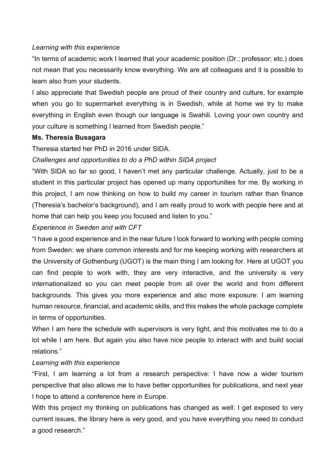#### *Learning with this experience*

"In terms of academic work I learned that your academic position (Dr.; professor; etc.) does not mean that you necessarily know everything. We are all colleagues and it is possible to learn also from your students.

I also appreciate that Swedish people are proud of their country and culture, for example when you go to supermarket everything is in Swedish, while at home we try to make everything in English even though our language is Swahili. Loving your own country and your culture is something I learned from Swedish people."

#### **Ms. Theresia Busagara**

Theresia started her PhD in 2016 under SIDA.

#### *Challenges and opportunities to do a PhD within SIDA project*

"With SIDA so far so good, I haven't met any particular challenge. Actually, just to be a student in this particular project has opened up many opportunities for me. By working in this project, I am now thinking on how to build my career in tourism rather than finance (Theresia's bachelor's background), and I am really proud to work with people here and at home that can help you keep you focused and listen to you."

#### *Experience in Sweden and with CFT*

"I have a good experience and in the near future I look forward to working with people coming from Sweden: we share common interests and for me keeping working with researchers at the University of Gothenburg (UGOT) is the main thing I am looking for. Here at UGOT you can find people to work with, they are very interactive, and the university is very internationalized so you can meet people from all over the world and from different backgrounds. This gives you more experience and also more exposure: I am learning human resource, financial, and academic skills, and this makes the whole package complete in terms of opportunities.

When I am here the schedule with supervisors is very tight, and this motivates me to do a lot while I am here. But again you also have nice people to interact with and build social relations."

#### *Learning with this experience*

"First, I am learning a lot from a research perspective: I have now a wider tourism perspective that also allows me to have better opportunities for publications, and next year I hope to attend a conference here in Europe.

With this project my thinking on publications has changed as well: I get exposed to very current issues, the library here is very good, and you have everything you need to conduct a good research."